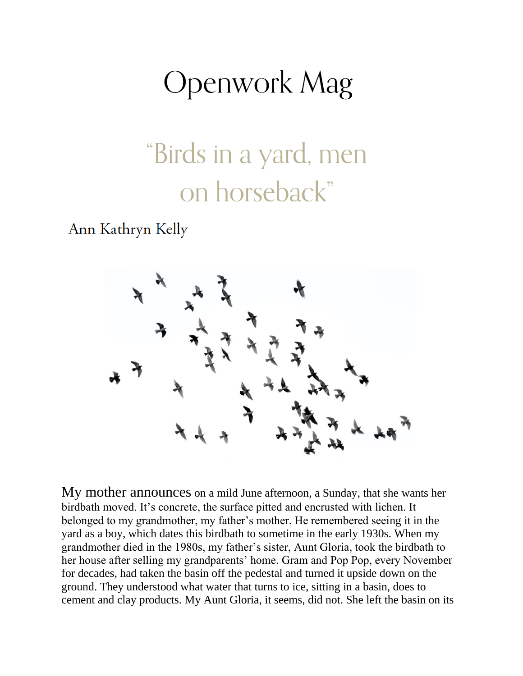## **Openwork Mag**

## "Birds in a yard, men on horseback"

Ann Kathryn Kelly



My mother announces on a mild June afternoon, a Sunday, that she wants her birdbath moved. It's concrete, the surface pitted and encrusted with lichen. It belonged to my grandmother, my father's mother. He remembered seeing it in the yard as a boy, which dates this birdbath to sometime in the early 1930s. When my grandmother died in the 1980s, my father's sister, Aunt Gloria, took the birdbath to her house after selling my grandparents' home. Gram and Pop Pop, every November for decades, had taken the basin off the pedestal and turned it upside down on the ground. They understood what water that turns to ice, sitting in a basin, does to cement and clay products. My Aunt Gloria, it seems, did not. She left the basin on its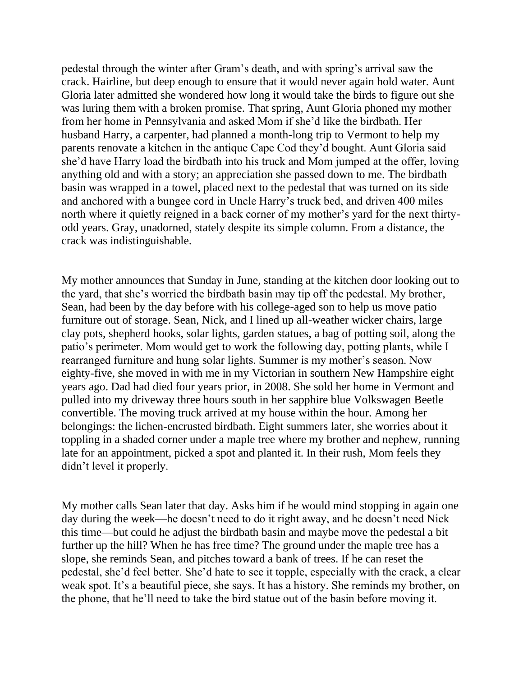pedestal through the winter after Gram's death, and with spring's arrival saw the crack. Hairline, but deep enough to ensure that it would never again hold water. Aunt Gloria later admitted she wondered how long it would take the birds to figure out she was luring them with a broken promise. That spring, Aunt Gloria phoned my mother from her home in Pennsylvania and asked Mom if she'd like the birdbath. Her husband Harry, a carpenter, had planned a month-long trip to Vermont to help my parents renovate a kitchen in the antique Cape Cod they'd bought. Aunt Gloria said she'd have Harry load the birdbath into his truck and Mom jumped at the offer, loving anything old and with a story; an appreciation she passed down to me. The birdbath basin was wrapped in a towel, placed next to the pedestal that was turned on its side and anchored with a bungee cord in Uncle Harry's truck bed, and driven 400 miles north where it quietly reigned in a back corner of my mother's yard for the next thirtyodd years. Gray, unadorned, stately despite its simple column. From a distance, the crack was indistinguishable.

My mother announces that Sunday in June, standing at the kitchen door looking out to the yard, that she's worried the birdbath basin may tip off the pedestal. My brother, Sean, had been by the day before with his college-aged son to help us move patio furniture out of storage. Sean, Nick, and I lined up all-weather wicker chairs, large clay pots, shepherd hooks, solar lights, garden statues, a bag of potting soil, along the patio's perimeter. Mom would get to work the following day, potting plants, while I rearranged furniture and hung solar lights. Summer is my mother's season. Now eighty-five, she moved in with me in my Victorian in southern New Hampshire eight years ago. Dad had died four years prior, in 2008. She sold her home in Vermont and pulled into my driveway three hours south in her sapphire blue Volkswagen Beetle convertible. The moving truck arrived at my house within the hour. Among her belongings: the lichen-encrusted birdbath. Eight summers later, she worries about it toppling in a shaded corner under a maple tree where my brother and nephew, running late for an appointment, picked a spot and planted it. In their rush, Mom feels they didn't level it properly.

My mother calls Sean later that day. Asks him if he would mind stopping in again one day during the week—he doesn't need to do it right away, and he doesn't need Nick this time—but could he adjust the birdbath basin and maybe move the pedestal a bit further up the hill? When he has free time? The ground under the maple tree has a slope, she reminds Sean, and pitches toward a bank of trees. If he can reset the pedestal, she'd feel better. She'd hate to see it topple, especially with the crack, a clear weak spot. It's a beautiful piece, she says. It has a history. She reminds my brother, on the phone, that he'll need to take the bird statue out of the basin before moving it.